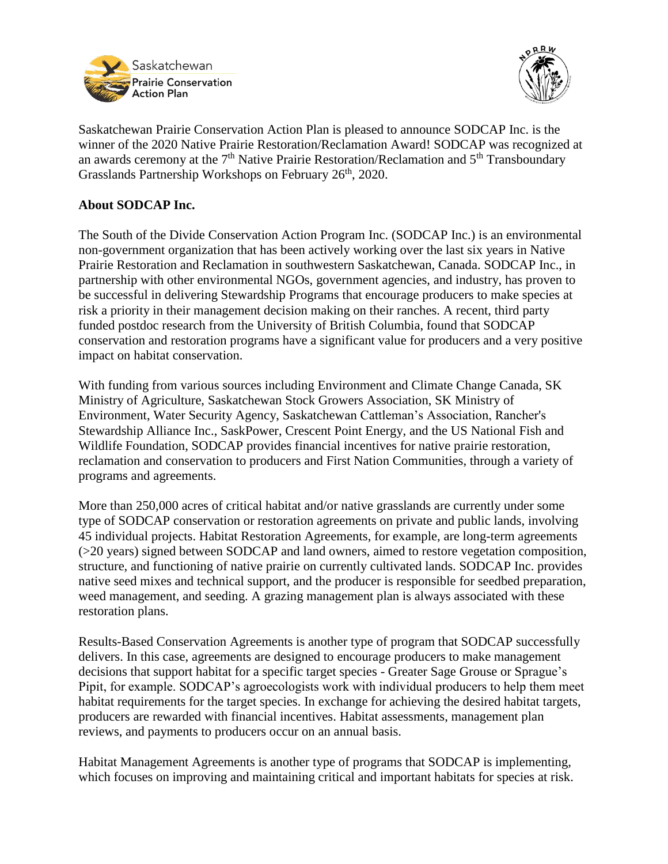



Saskatchewan Prairie Conservation Action Plan is pleased to announce SODCAP Inc. is the winner of the 2020 Native Prairie Restoration/Reclamation Award! SODCAP was recognized at an awards ceremony at the  $7<sup>th</sup>$  Native Prairie Restoration/Reclamation and  $5<sup>th</sup>$  Transboundary Grasslands Partnership Workshops on February 26<sup>th</sup>, 2020.

## **About SODCAP Inc.**

The South of the Divide Conservation Action Program Inc. (SODCAP Inc.) is an environmental non-government organization that has been actively working over the last six years in Native Prairie Restoration and Reclamation in southwestern Saskatchewan, Canada. SODCAP Inc., in partnership with other environmental NGOs, government agencies, and industry, has proven to be successful in delivering Stewardship Programs that encourage producers to make species at risk a priority in their management decision making on their ranches. A recent, third party funded postdoc research from the University of British Columbia, found that SODCAP conservation and restoration programs have a significant value for producers and a very positive impact on habitat conservation.

With funding from various sources including Environment and Climate Change Canada, SK Ministry of Agriculture, Saskatchewan Stock Growers Association, SK Ministry of Environment, Water Security Agency, Saskatchewan Cattleman's Association, Rancher's Stewardship Alliance Inc., SaskPower, Crescent Point Energy, and the US National Fish and Wildlife Foundation, SODCAP provides financial incentives for native prairie restoration, reclamation and conservation to producers and First Nation Communities, through a variety of programs and agreements.

More than 250,000 acres of critical habitat and/or native grasslands are currently under some type of SODCAP conservation or restoration agreements on private and public lands, involving 45 individual projects. Habitat Restoration Agreements, for example, are long-term agreements (>20 years) signed between SODCAP and land owners, aimed to restore vegetation composition, structure, and functioning of native prairie on currently cultivated lands. SODCAP Inc. provides native seed mixes and technical support, and the producer is responsible for seedbed preparation, weed management, and seeding. A grazing management plan is always associated with these restoration plans.

Results-Based Conservation Agreements is another type of program that SODCAP successfully delivers. In this case, agreements are designed to encourage producers to make management decisions that support habitat for a specific target species - Greater Sage Grouse or Sprague's Pipit, for example. SODCAP's agroecologists work with individual producers to help them meet habitat requirements for the target species. In exchange for achieving the desired habitat targets, producers are rewarded with financial incentives. Habitat assessments, management plan reviews, and payments to producers occur on an annual basis.

Habitat Management Agreements is another type of programs that SODCAP is implementing, which focuses on improving and maintaining critical and important habitats for species at risk.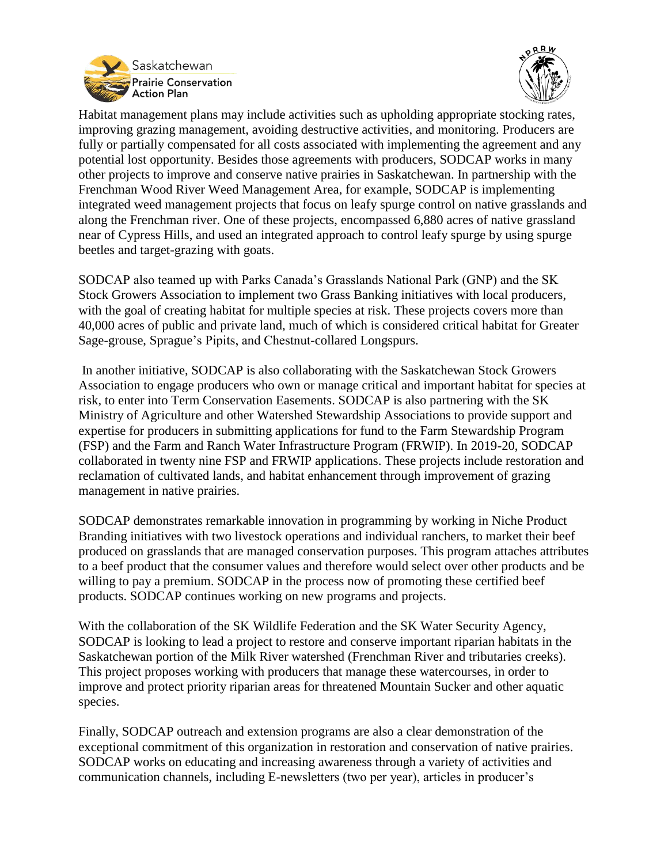



Habitat management plans may include activities such as upholding appropriate stocking rates, improving grazing management, avoiding destructive activities, and monitoring. Producers are fully or partially compensated for all costs associated with implementing the agreement and any potential lost opportunity. Besides those agreements with producers, SODCAP works in many other projects to improve and conserve native prairies in Saskatchewan. In partnership with the Frenchman Wood River Weed Management Area, for example, SODCAP is implementing integrated weed management projects that focus on leafy spurge control on native grasslands and along the Frenchman river. One of these projects, encompassed 6,880 acres of native grassland near of Cypress Hills, and used an integrated approach to control leafy spurge by using spurge beetles and target-grazing with goats.

SODCAP also teamed up with Parks Canada's Grasslands National Park (GNP) and the SK Stock Growers Association to implement two Grass Banking initiatives with local producers, with the goal of creating habitat for multiple species at risk. These projects covers more than 40,000 acres of public and private land, much of which is considered critical habitat for Greater Sage-grouse, Sprague's Pipits, and Chestnut-collared Longspurs.

In another initiative, SODCAP is also collaborating with the Saskatchewan Stock Growers Association to engage producers who own or manage critical and important habitat for species at risk, to enter into Term Conservation Easements. SODCAP is also partnering with the SK Ministry of Agriculture and other Watershed Stewardship Associations to provide support and expertise for producers in submitting applications for fund to the Farm Stewardship Program (FSP) and the Farm and Ranch Water Infrastructure Program (FRWIP). In 2019-20, SODCAP collaborated in twenty nine FSP and FRWIP applications. These projects include restoration and reclamation of cultivated lands, and habitat enhancement through improvement of grazing management in native prairies.

SODCAP demonstrates remarkable innovation in programming by working in Niche Product Branding initiatives with two livestock operations and individual ranchers, to market their beef produced on grasslands that are managed conservation purposes. This program attaches attributes to a beef product that the consumer values and therefore would select over other products and be willing to pay a premium. SODCAP in the process now of promoting these certified beef products. SODCAP continues working on new programs and projects.

With the collaboration of the SK Wildlife Federation and the SK Water Security Agency, SODCAP is looking to lead a project to restore and conserve important riparian habitats in the Saskatchewan portion of the Milk River watershed (Frenchman River and tributaries creeks). This project proposes working with producers that manage these watercourses, in order to improve and protect priority riparian areas for threatened Mountain Sucker and other aquatic species.

Finally, SODCAP outreach and extension programs are also a clear demonstration of the exceptional commitment of this organization in restoration and conservation of native prairies. SODCAP works on educating and increasing awareness through a variety of activities and communication channels, including E-newsletters (two per year), articles in producer's